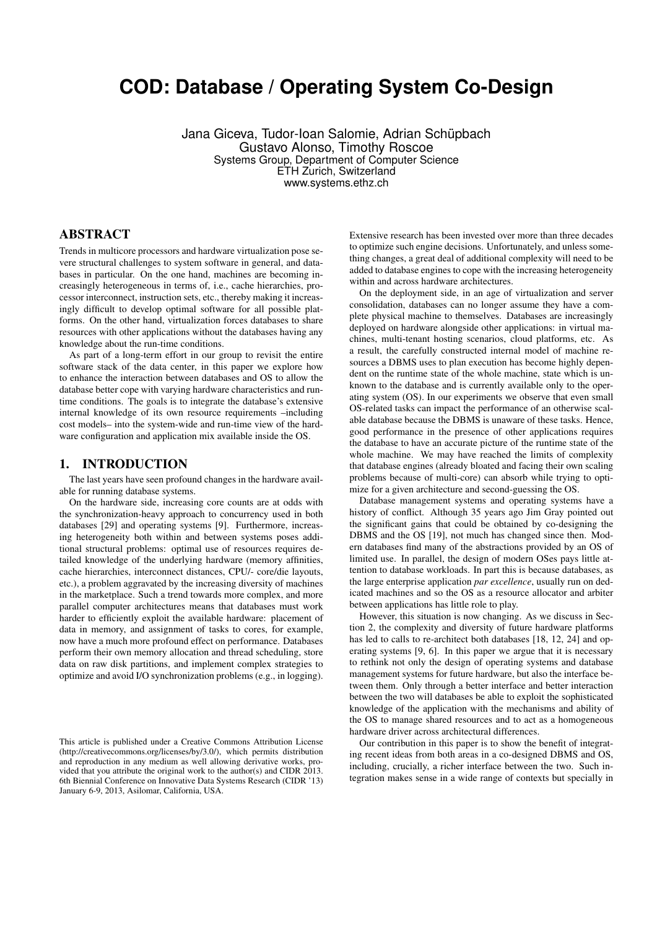# **COD: Database / Operating System Co-Design**

Jana Giceva, Tudor-Ioan Salomie, Adrian Schüpbach Gustavo Alonso, Timothy Roscoe Systems Group, Department of Computer Science ETH Zurich, Switzerland www.systems.ethz.ch

# ABSTRACT

Trends in multicore processors and hardware virtualization pose severe structural challenges to system software in general, and databases in particular. On the one hand, machines are becoming increasingly heterogeneous in terms of, i.e., cache hierarchies, processor interconnect, instruction sets, etc., thereby making it increasingly difficult to develop optimal software for all possible platforms. On the other hand, virtualization forces databases to share resources with other applications without the databases having any knowledge about the run-time conditions.

As part of a long-term effort in our group to revisit the entire software stack of the data center, in this paper we explore how to enhance the interaction between databases and OS to allow the database better cope with varying hardware characteristics and runtime conditions. The goals is to integrate the database's extensive internal knowledge of its own resource requirements –including cost models– into the system-wide and run-time view of the hardware configuration and application mix available inside the OS.

#### 1. INTRODUCTION

The last years have seen profound changes in the hardware available for running database systems.

On the hardware side, increasing core counts are at odds with the synchronization-heavy approach to concurrency used in both databases [29] and operating systems [9]. Furthermore, increasing heterogeneity both within and between systems poses additional structural problems: optimal use of resources requires detailed knowledge of the underlying hardware (memory affinities, cache hierarchies, interconnect distances, CPU/- core/die layouts, etc.), a problem aggravated by the increasing diversity of machines in the marketplace. Such a trend towards more complex, and more parallel computer architectures means that databases must work harder to efficiently exploit the available hardware: placement of data in memory, and assignment of tasks to cores, for example, now have a much more profound effect on performance. Databases perform their own memory allocation and thread scheduling, store data on raw disk partitions, and implement complex strategies to optimize and avoid I/O synchronization problems (e.g., in logging).

Extensive research has been invested over more than three decades to optimize such engine decisions. Unfortunately, and unless something changes, a great deal of additional complexity will need to be added to database engines to cope with the increasing heterogeneity within and across hardware architectures.

On the deployment side, in an age of virtualization and server consolidation, databases can no longer assume they have a complete physical machine to themselves. Databases are increasingly deployed on hardware alongside other applications: in virtual machines, multi-tenant hosting scenarios, cloud platforms, etc. As a result, the carefully constructed internal model of machine resources a DBMS uses to plan execution has become highly dependent on the runtime state of the whole machine, state which is unknown to the database and is currently available only to the operating system (OS). In our experiments we observe that even small OS-related tasks can impact the performance of an otherwise scalable database because the DBMS is unaware of these tasks. Hence, good performance in the presence of other applications requires the database to have an accurate picture of the runtime state of the whole machine. We may have reached the limits of complexity that database engines (already bloated and facing their own scaling problems because of multi-core) can absorb while trying to optimize for a given architecture and second-guessing the OS.

Database management systems and operating systems have a history of conflict. Although 35 years ago Jim Gray pointed out the significant gains that could be obtained by co-designing the DBMS and the OS [19], not much has changed since then. Modern databases find many of the abstractions provided by an OS of limited use. In parallel, the design of modern OSes pays little attention to database workloads. In part this is because databases, as the large enterprise application *par excellence*, usually run on dedicated machines and so the OS as a resource allocator and arbiter between applications has little role to play.

However, this situation is now changing. As we discuss in Section 2, the complexity and diversity of future hardware platforms has led to calls to re-architect both databases [18, 12, 24] and operating systems [9, 6]. In this paper we argue that it is necessary to rethink not only the design of operating systems and database management systems for future hardware, but also the interface between them. Only through a better interface and better interaction between the two will databases be able to exploit the sophisticated knowledge of the application with the mechanisms and ability of the OS to manage shared resources and to act as a homogeneous hardware driver across architectural differences.

Our contribution in this paper is to show the benefit of integrating recent ideas from both areas in a co-designed DBMS and OS, including, crucially, a richer interface between the two. Such integration makes sense in a wide range of contexts but specially in

This article is published under a Creative Commons Attribution License (http://creativecommons.org/licenses/by/3.0/), which permits distribution and reproduction in any medium as well allowing derivative works, provided that you attribute the original work to the author(s) and CIDR 2013. 6th Biennial Conference on Innovative Data Systems Research (CIDR '13) January 6-9, 2013, Asilomar, California, USA.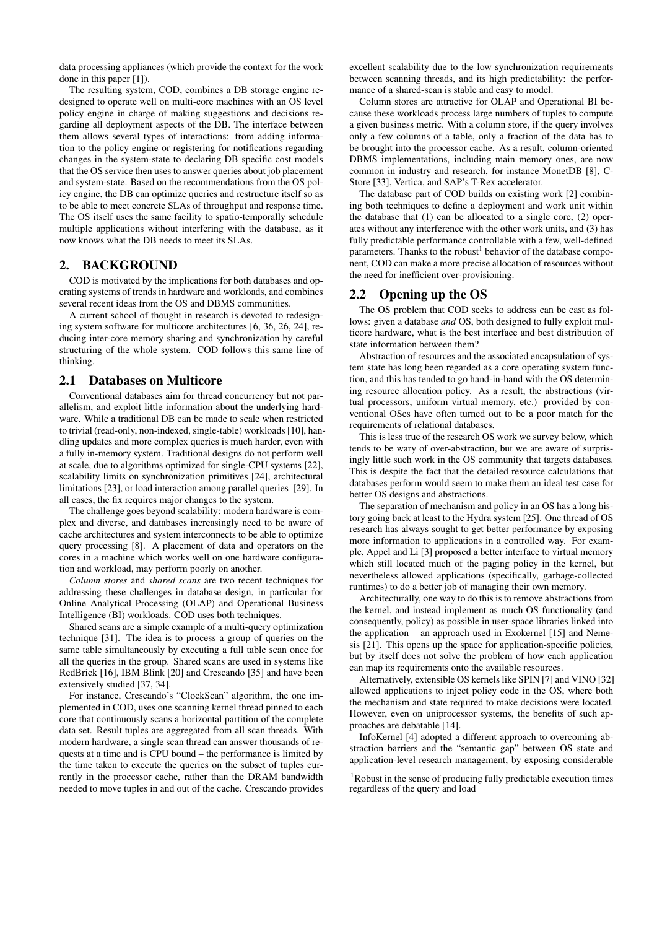data processing appliances (which provide the context for the work done in this paper [1]).

The resulting system, COD, combines a DB storage engine redesigned to operate well on multi-core machines with an OS level policy engine in charge of making suggestions and decisions regarding all deployment aspects of the DB. The interface between them allows several types of interactions: from adding information to the policy engine or registering for notifications regarding changes in the system-state to declaring DB specific cost models that the OS service then uses to answer queries about job placement and system-state. Based on the recommendations from the OS policy engine, the DB can optimize queries and restructure itself so as to be able to meet concrete SLAs of throughput and response time. The OS itself uses the same facility to spatio-temporally schedule multiple applications without interfering with the database, as it now knows what the DB needs to meet its SLAs.

# 2. BACKGROUND

COD is motivated by the implications for both databases and operating systems of trends in hardware and workloads, and combines several recent ideas from the OS and DBMS communities.

A current school of thought in research is devoted to redesigning system software for multicore architectures [6, 36, 26, 24], reducing inter-core memory sharing and synchronization by careful structuring of the whole system. COD follows this same line of thinking.

# 2.1 Databases on Multicore

Conventional databases aim for thread concurrency but not parallelism, and exploit little information about the underlying hardware. While a traditional DB can be made to scale when restricted to trivial (read-only, non-indexed, single-table) workloads [10], handling updates and more complex queries is much harder, even with a fully in-memory system. Traditional designs do not perform well at scale, due to algorithms optimized for single-CPU systems [22], scalability limits on synchronization primitives [24], architectural limitations [23], or load interaction among parallel queries [29]. In all cases, the fix requires major changes to the system.

The challenge goes beyond scalability: modern hardware is complex and diverse, and databases increasingly need to be aware of cache architectures and system interconnects to be able to optimize query processing [8]. A placement of data and operators on the cores in a machine which works well on one hardware configuration and workload, may perform poorly on another.

*Column stores* and *shared scans* are two recent techniques for addressing these challenges in database design, in particular for Online Analytical Processing (OLAP) and Operational Business Intelligence (BI) workloads. COD uses both techniques.

Shared scans are a simple example of a multi-query optimization technique [31]. The idea is to process a group of queries on the same table simultaneously by executing a full table scan once for all the queries in the group. Shared scans are used in systems like RedBrick [16], IBM Blink [20] and Crescando [35] and have been extensively studied [37, 34].

For instance, Crescando's "ClockScan" algorithm, the one implemented in COD, uses one scanning kernel thread pinned to each core that continuously scans a horizontal partition of the complete data set. Result tuples are aggregated from all scan threads. With modern hardware, a single scan thread can answer thousands of requests at a time and is CPU bound – the performance is limited by the time taken to execute the queries on the subset of tuples currently in the processor cache, rather than the DRAM bandwidth needed to move tuples in and out of the cache. Crescando provides

excellent scalability due to the low synchronization requirements between scanning threads, and its high predictability: the performance of a shared-scan is stable and easy to model.

Column stores are attractive for OLAP and Operational BI because these workloads process large numbers of tuples to compute a given business metric. With a column store, if the query involves only a few columns of a table, only a fraction of the data has to be brought into the processor cache. As a result, column-oriented DBMS implementations, including main memory ones, are now common in industry and research, for instance MonetDB [8], C-Store [33], Vertica, and SAP's T-Rex accelerator.

The database part of COD builds on existing work [2] combining both techniques to define a deployment and work unit within the database that (1) can be allocated to a single core, (2) operates without any interference with the other work units, and (3) has fully predictable performance controllable with a few, well-defined parameters. Thanks to the robust<sup>1</sup> behavior of the database component, COD can make a more precise allocation of resources without the need for inefficient over-provisioning.

# 2.2 Opening up the OS

The OS problem that COD seeks to address can be cast as follows: given a database *and* OS, both designed to fully exploit multicore hardware, what is the best interface and best distribution of state information between them?

Abstraction of resources and the associated encapsulation of system state has long been regarded as a core operating system function, and this has tended to go hand-in-hand with the OS determining resource allocation policy. As a result, the abstractions (virtual processors, uniform virtual memory, etc.) provided by conventional OSes have often turned out to be a poor match for the requirements of relational databases.

This is less true of the research OS work we survey below, which tends to be wary of over-abstraction, but we are aware of surprisingly little such work in the OS community that targets databases. This is despite the fact that the detailed resource calculations that databases perform would seem to make them an ideal test case for better OS designs and abstractions.

The separation of mechanism and policy in an OS has a long history going back at least to the Hydra system [25]. One thread of OS research has always sought to get better performance by exposing more information to applications in a controlled way. For example, Appel and Li [3] proposed a better interface to virtual memory which still located much of the paging policy in the kernel, but nevertheless allowed applications (specifically, garbage-collected runtimes) to do a better job of managing their own memory.

Architecturally, one way to do this is to remove abstractions from the kernel, and instead implement as much OS functionality (and consequently, policy) as possible in user-space libraries linked into the application – an approach used in Exokernel [15] and Nemesis [21]. This opens up the space for application-specific policies, but by itself does not solve the problem of how each application can map its requirements onto the available resources.

Alternatively, extensible OS kernels like SPIN [7] and VINO [32] allowed applications to inject policy code in the OS, where both the mechanism and state required to make decisions were located. However, even on uniprocessor systems, the benefits of such approaches are debatable [14].

InfoKernel [4] adopted a different approach to overcoming abstraction barriers and the "semantic gap" between OS state and application-level research management, by exposing considerable

<sup>1</sup>Robust in the sense of producing fully predictable execution times regardless of the query and load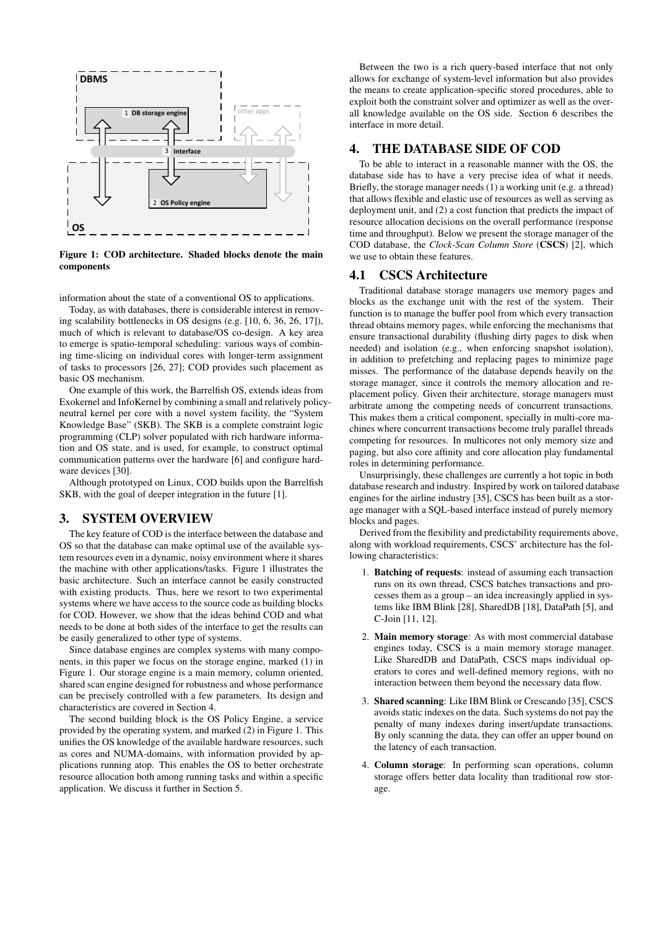

Figure 1: COD architecture. Shaded blocks denote the main components

information about the state of a conventional OS to applications.

Today, as with databases, there is considerable interest in removing scalability bottlenecks in OS designs (e.g. [10, 6, 36, 26, 17]), much of which is relevant to database/OS co-design. A key area to emerge is spatio-temporal scheduling: various ways of combining time-slicing on individual cores with longer-term assignment of tasks to processors [26, 27]; COD provides such placement as basic OS mechanism.

One example of this work, the Barrelfish OS, extends ideas from Exokernel and InfoKernel by combining a small and relatively policyneutral kernel per core with a novel system facility, the "System Knowledge Base" (SKB). The SKB is a complete constraint logic programming (CLP) solver populated with rich hardware information and OS state, and is used, for example, to construct optimal communication patterns over the hardware [6] and configure hardware devices [30].

Although prototyped on Linux, COD builds upon the Barrelfish SKB, with the goal of deeper integration in the future [1].

# 3. SYSTEM OVERVIEW

The key feature of COD is the interface between the database and OS so that the database can make optimal use of the available system resources even in a dynamic, noisy environment where it shares the machine with other applications/tasks. Figure 1 illustrates the basic architecture. Such an interface cannot be easily constructed with existing products. Thus, here we resort to two experimental systems where we have access to the source code as building blocks for COD. However, we show that the ideas behind COD and what needs to be done at both sides of the interface to get the results can be easily generalized to other type of systems.

Since database engines are complex systems with many components, in this paper we focus on the storage engine, marked (1) in Figure 1. Our storage engine is a main memory, column oriented, shared scan engine designed for robustness and whose performance can be precisely controlled with a few parameters. Its design and characteristics are covered in Section 4.

The second building block is the OS Policy Engine, a service provided by the operating system, and marked (2) in Figure 1. This unifies the OS knowledge of the available hardware resources, such as cores and NUMA-domains, with information provided by applications running atop. This enables the OS to better orchestrate resource allocation both among running tasks and within a specific application. We discuss it further in Section 5.

Between the two is a rich query-based interface that not only allows for exchange of system-level information but also provides the means to create application-specific stored procedures, able to exploit both the constraint solver and optimizer as well as the overall knowledge available on the OS side. Section 6 describes the interface in more detail.

# 4. THE DATABASE SIDE OF COD

To be able to interact in a reasonable manner with the OS, the database side has to have a very precise idea of what it needs. Briefly, the storage manager needs (1) a working unit (e.g. a thread) that allows flexible and elastic use of resources as well as serving as deployment unit, and (2) a cost function that predicts the impact of resource allocation decisions on the overall performance (response time and throughput). Below we present the storage manager of the COD database, the *Clock-Scan Column Store* (CSCS) [2], which we use to obtain these features.

## 4.1 CSCS Architecture

Traditional database storage managers use memory pages and blocks as the exchange unit with the rest of the system. Their function is to manage the buffer pool from which every transaction thread obtains memory pages, while enforcing the mechanisms that ensure transactional durability (flushing dirty pages to disk when needed) and isolation (e.g., when enforcing snapshot isolation), in addition to prefetching and replacing pages to minimize page misses. The performance of the database depends heavily on the storage manager, since it controls the memory allocation and replacement policy. Given their architecture, storage managers must arbitrate among the competing needs of concurrent transactions. This makes them a critical component, specially in multi-core machines where concurrent transactions become truly parallel threads competing for resources. In multicores not only memory size and paging, but also core affinity and core allocation play fundamental roles in determining performance.

Unsurprisingly, these challenges are currently a hot topic in both database research and industry. Inspired by work on tailored database engines for the airline industry [35], CSCS has been built as a storage manager with a SQL-based interface instead of purely memory blocks and pages.

Derived from the flexibility and predictability requirements above, along with workload requirements, CSCS' architecture has the following characteristics:

- 1. Batching of requests: instead of assuming each transaction runs on its own thread, CSCS batches transactions and processes them as a group – an idea increasingly applied in systems like IBM Blink [28], SharedDB [18], DataPath [5], and C-Join [11, 12].
- 2. Main memory storage: As with most commercial database engines today, CSCS is a main memory storage manager. Like SharedDB and DataPath, CSCS maps individual operators to cores and well-defined memory regions, with no interaction between them beyond the necessary data flow.
- 3. Shared scanning: Like IBM Blink or Crescando [35], CSCS avoids static indexes on the data. Such systems do not pay the penalty of many indexes during insert/update transactions. By only scanning the data, they can offer an upper bound on the latency of each transaction.
- 4. Column storage: In performing scan operations, column storage offers better data locality than traditional row storage.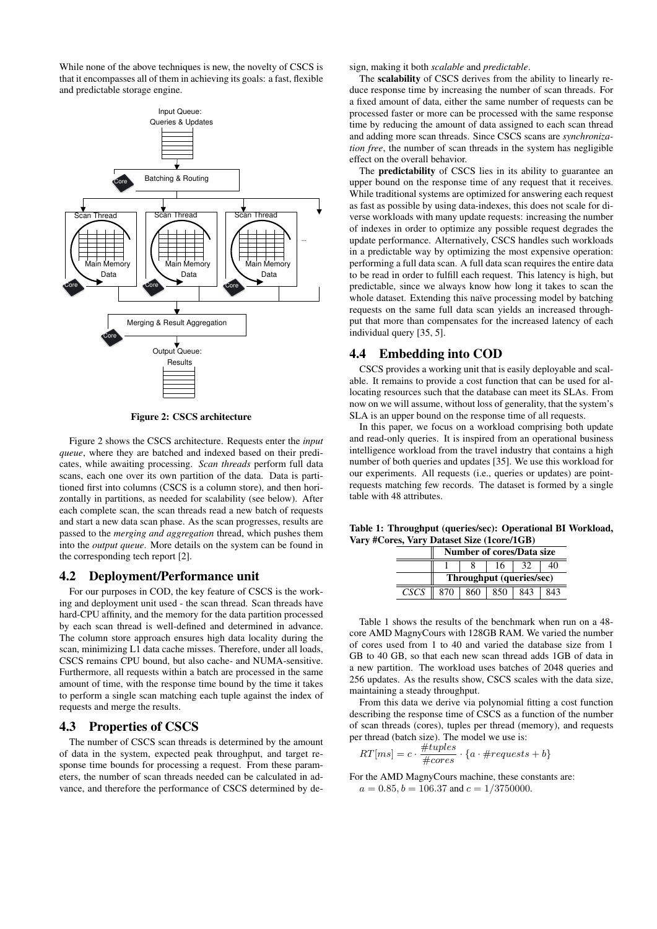While none of the above techniques is new, the novelty of CSCS is that it encompasses all of them in achieving its goals: a fast, flexible and predictable storage engine.



Figure 2: CSCS architecture

Figure 2 shows the CSCS architecture. Requests enter the *input queue*, where they are batched and indexed based on their predicates, while awaiting processing. *Scan threads* perform full data scans, each one over its own partition of the data. Data is partitioned first into columns (CSCS is a column store), and then horizontally in partitions, as needed for scalability (see below). After each complete scan, the scan threads read a new batch of requests and start a new data scan phase. As the scan progresses, results are passed to the *merging and aggregation* thread, which pushes them into the *output queue*. More details on the system can be found in the corresponding tech report [2].

#### 4.2 Deployment/Performance unit

For our purposes in COD, the key feature of CSCS is the working and deployment unit used - the scan thread. Scan threads have hard-CPU affinity, and the memory for the data partition processed by each scan thread is well-defined and determined in advance. The column store approach ensures high data locality during the scan, minimizing L1 data cache misses. Therefore, under all loads, CSCS remains CPU bound, but also cache- and NUMA-sensitive. Furthermore, all requests within a batch are processed in the same amount of time, with the response time bound by the time it takes to perform a single scan matching each tuple against the index of requests and merge the results.

### 4.3 Properties of CSCS

The number of CSCS scan threads is determined by the amount of data in the system, expected peak throughput, and target response time bounds for processing a request. From these parameters, the number of scan threads needed can be calculated in advance, and therefore the performance of CSCS determined by design, making it both *scalable* and *predictable*.

The scalability of CSCS derives from the ability to linearly reduce response time by increasing the number of scan threads. For a fixed amount of data, either the same number of requests can be processed faster or more can be processed with the same response time by reducing the amount of data assigned to each scan thread and adding more scan threads. Since CSCS scans are *synchronization free*, the number of scan threads in the system has negligible effect on the overall behavior.

The predictability of CSCS lies in its ability to guarantee an upper bound on the response time of any request that it receives. While traditional systems are optimized for answering each request as fast as possible by using data-indexes, this does not scale for diverse workloads with many update requests: increasing the number of indexes in order to optimize any possible request degrades the update performance. Alternatively, CSCS handles such workloads in a predictable way by optimizing the most expensive operation: performing a full data scan. A full data scan requires the entire data to be read in order to fulfill each request. This latency is high, but predictable, since we always know how long it takes to scan the whole dataset. Extending this naïve processing model by batching requests on the same full data scan yields an increased throughput that more than compensates for the increased latency of each individual query [35, 5].

## 4.4 Embedding into COD

CSCS provides a working unit that is easily deployable and scalable. It remains to provide a cost function that can be used for allocating resources such that the database can meet its SLAs. From now on we will assume, without loss of generality, that the system's SLA is an upper bound on the response time of all requests.

In this paper, we focus on a workload comprising both update and read-only queries. It is inspired from an operational business intelligence workload from the travel industry that contains a high number of both queries and updates [35]. We use this workload for our experiments. All requests (i.e., queries or updates) are pointrequests matching few records. The dataset is formed by a single table with 48 attributes.

Table 1: Throughput (queries/sec): Operational BI Workload, Vary #Cores, Vary Dataset Size (1core/1GB)

|      | Number of cores/Data size |                       |  |  |  |  |
|------|---------------------------|-----------------------|--|--|--|--|
|      |                           | 32                    |  |  |  |  |
|      | Throughput (queries/sec)  |                       |  |  |  |  |
| CSCS |                           | 870   860   850   843 |  |  |  |  |

Table 1 shows the results of the benchmark when run on a 48 core AMD MagnyCours with 128GB RAM. We varied the number of cores used from 1 to 40 and varied the database size from 1 GB to 40 GB, so that each new scan thread adds 1GB of data in a new partition. The workload uses batches of 2048 queries and 256 updates. As the results show, CSCS scales with the data size, maintaining a steady throughput.

From this data we derive via polynomial fitting a cost function describing the response time of CSCS as a function of the number of scan threads (cores), tuples per thread (memory), and requests per thread (batch size). The model we use is:

$$
RT[ms] = c \cdot \frac{\#tuples}{\#cores} \cdot \{a \cdot \# requests + b\}
$$

For the AMD MagnyCours machine, these constants are:  $a = 0.85, b = 106.37$  and  $c = 1/3750000$ .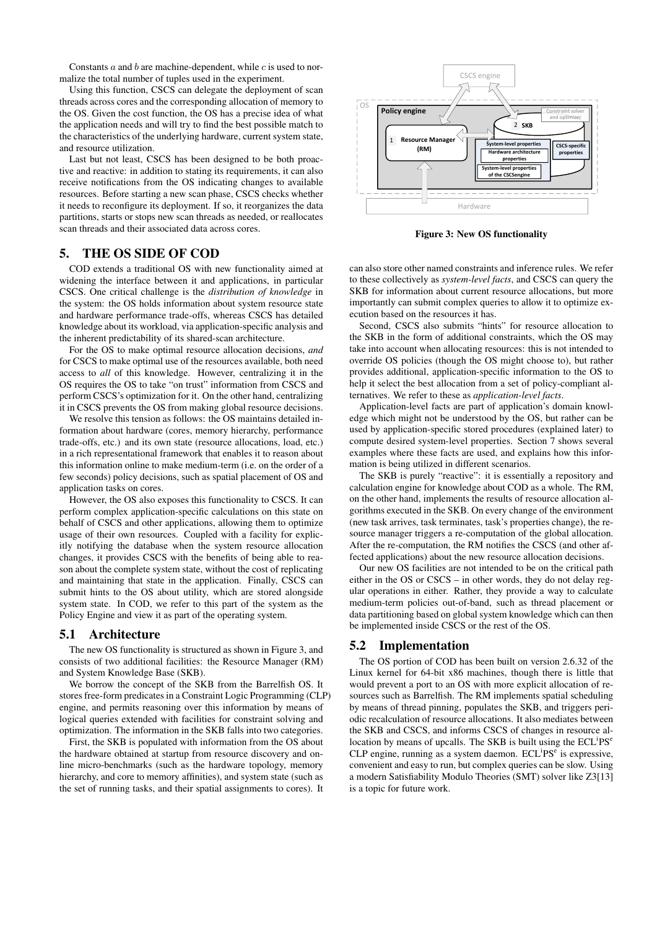Constants  $a$  and  $b$  are machine-dependent, while  $c$  is used to normalize the total number of tuples used in the experiment.

Using this function, CSCS can delegate the deployment of scan threads across cores and the corresponding allocation of memory to the OS. Given the cost function, the OS has a precise idea of what the application needs and will try to find the best possible match to the characteristics of the underlying hardware, current system state, and resource utilization.

Last but not least, CSCS has been designed to be both proactive and reactive: in addition to stating its requirements, it can also receive notifications from the OS indicating changes to available resources. Before starting a new scan phase, CSCS checks whether it needs to reconfigure its deployment. If so, it reorganizes the data partitions, starts or stops new scan threads as needed, or reallocates scan threads and their associated data across cores.

# 5. THE OS SIDE OF COD

COD extends a traditional OS with new functionality aimed at widening the interface between it and applications, in particular CSCS. One critical challenge is the *distribution of knowledge* in the system: the OS holds information about system resource state and hardware performance trade-offs, whereas CSCS has detailed knowledge about its workload, via application-specific analysis and the inherent predictability of its shared-scan architecture.

For the OS to make optimal resource allocation decisions, *and* for CSCS to make optimal use of the resources available, both need access to *all* of this knowledge. However, centralizing it in the OS requires the OS to take "on trust" information from CSCS and perform CSCS's optimization for it. On the other hand, centralizing it in CSCS prevents the OS from making global resource decisions.

We resolve this tension as follows: the OS maintains detailed information about hardware (cores, memory hierarchy, performance trade-offs, etc.) and its own state (resource allocations, load, etc.) in a rich representational framework that enables it to reason about this information online to make medium-term (i.e. on the order of a few seconds) policy decisions, such as spatial placement of OS and application tasks on cores.

However, the OS also exposes this functionality to CSCS. It can perform complex application-specific calculations on this state on behalf of CSCS and other applications, allowing them to optimize usage of their own resources. Coupled with a facility for explicitly notifying the database when the system resource allocation changes, it provides CSCS with the benefits of being able to reason about the complete system state, without the cost of replicating and maintaining that state in the application. Finally, CSCS can submit hints to the OS about utility, which are stored alongside system state. In COD, we refer to this part of the system as the Policy Engine and view it as part of the operating system.

### 5.1 Architecture

The new OS functionality is structured as shown in Figure 3, and consists of two additional facilities: the Resource Manager (RM) and System Knowledge Base (SKB).

We borrow the concept of the SKB from the Barrelfish OS. It stores free-form predicates in a Constraint Logic Programming (CLP) engine, and permits reasoning over this information by means of logical queries extended with facilities for constraint solving and optimization. The information in the SKB falls into two categories.

First, the SKB is populated with information from the OS about the hardware obtained at startup from resource discovery and online micro-benchmarks (such as the hardware topology, memory hierarchy, and core to memory affinities), and system state (such as the set of running tasks, and their spatial assignments to cores). It



Figure 3: New OS functionality

can also store other named constraints and inference rules. We refer to these collectively as *system-level facts*, and CSCS can query the SKB for information about current resource allocations, but more importantly can submit complex queries to allow it to optimize execution based on the resources it has.

Second, CSCS also submits "hints" for resource allocation to the SKB in the form of additional constraints, which the OS may take into account when allocating resources: this is not intended to override OS policies (though the OS might choose to), but rather provides additional, application-specific information to the OS to help it select the best allocation from a set of policy-compliant alternatives. We refer to these as *application-level facts*.

Application-level facts are part of application's domain knowledge which might not be understood by the OS, but rather can be used by application-specific stored procedures (explained later) to compute desired system-level properties. Section 7 shows several examples where these facts are used, and explains how this information is being utilized in different scenarios.

The SKB is purely "reactive": it is essentially a repository and calculation engine for knowledge about COD as a whole. The RM, on the other hand, implements the results of resource allocation algorithms executed in the SKB. On every change of the environment (new task arrives, task terminates, task's properties change), the resource manager triggers a re-computation of the global allocation. After the re-computation, the RM notifies the CSCS (and other affected applications) about the new resource allocation decisions.

Our new OS facilities are not intended to be on the critical path either in the OS or CSCS – in other words, they do not delay regular operations in either. Rather, they provide a way to calculate medium-term policies out-of-band, such as thread placement or data partitioning based on global system knowledge which can then be implemented inside CSCS or the rest of the OS.

### 5.2 Implementation

The OS portion of COD has been built on version 2.6.32 of the Linux kernel for 64-bit x86 machines, though there is little that would prevent a port to an OS with more explicit allocation of resources such as Barrelfish. The RM implements spatial scheduling by means of thread pinning, populates the SKB, and triggers periodic recalculation of resource allocations. It also mediates between the SKB and CSCS, and informs CSCS of changes in resource allocation by means of upcalls. The SKB is built using the ECL<sup>i</sup>PS<sup>e</sup> CLP engine, running as a system daemon. ECL<sup>1</sup>PS<sup>e</sup> is expressive, convenient and easy to run, but complex queries can be slow. Using a modern Satisfiability Modulo Theories (SMT) solver like Z3[13] is a topic for future work.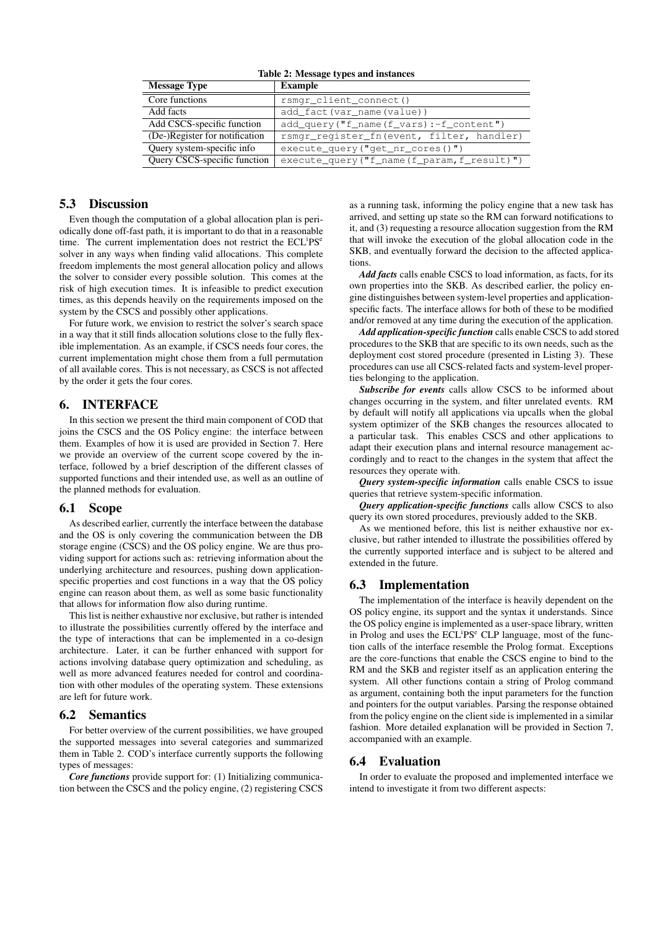| Table 2: Message types and instances |
|--------------------------------------|
|--------------------------------------|

| <b>Example</b>                            |  |  |  |  |
|-------------------------------------------|--|--|--|--|
| rsmgr_client_connect()                    |  |  |  |  |
| add fact (var name (value))               |  |  |  |  |
| add_query("f_name(f_vars):-f_content")    |  |  |  |  |
| rsmgr_register_fn(event, filter, handler) |  |  |  |  |
| $execute_query("get_nr_cores())")$        |  |  |  |  |
| execute_query("f_name(f_param,f_result)") |  |  |  |  |
|                                           |  |  |  |  |

# 5.3 Discussion

Even though the computation of a global allocation plan is periodically done off-fast path, it is important to do that in a reasonable time. The current implementation does not restrict the ECL<sup>i</sup>PS<sup>e</sup> solver in any ways when finding valid allocations. This complete freedom implements the most general allocation policy and allows the solver to consider every possible solution. This comes at the risk of high execution times. It is infeasible to predict execution times, as this depends heavily on the requirements imposed on the system by the CSCS and possibly other applications.

For future work, we envision to restrict the solver's search space in a way that it still finds allocation solutions close to the fully flexible implementation. As an example, if CSCS needs four cores, the current implementation might chose them from a full permutation of all available cores. This is not necessary, as CSCS is not affected by the order it gets the four cores.

# 6. INTERFACE

In this section we present the third main component of COD that joins the CSCS and the OS Policy engine: the interface between them. Examples of how it is used are provided in Section 7. Here we provide an overview of the current scope covered by the interface, followed by a brief description of the different classes of supported functions and their intended use, as well as an outline of the planned methods for evaluation.

#### 6.1 Scope

As described earlier, currently the interface between the database and the OS is only covering the communication between the DB storage engine (CSCS) and the OS policy engine. We are thus providing support for actions such as: retrieving information about the underlying architecture and resources, pushing down applicationspecific properties and cost functions in a way that the OS policy engine can reason about them, as well as some basic functionality that allows for information flow also during runtime.

This list is neither exhaustive nor exclusive, but rather is intended to illustrate the possibilities currently offered by the interface and the type of interactions that can be implemented in a co-design architecture. Later, it can be further enhanced with support for actions involving database query optimization and scheduling, as well as more advanced features needed for control and coordination with other modules of the operating system. These extensions are left for future work.

# 6.2 Semantics

For better overview of the current possibilities, we have grouped the supported messages into several categories and summarized them in Table 2. COD's interface currently supports the following types of messages:

*Core functions* provide support for: (1) Initializing communication between the CSCS and the policy engine, (2) registering CSCS as a running task, informing the policy engine that a new task has arrived, and setting up state so the RM can forward notifications to it, and (3) requesting a resource allocation suggestion from the RM that will invoke the execution of the global allocation code in the SKB, and eventually forward the decision to the affected applications.

*Add facts* calls enable CSCS to load information, as facts, for its own properties into the SKB. As described earlier, the policy engine distinguishes between system-level properties and applicationspecific facts. The interface allows for both of these to be modified and/or removed at any time during the execution of the application.

*Add application-specific function* calls enable CSCS to add stored procedures to the SKB that are specific to its own needs, such as the deployment cost stored procedure (presented in Listing 3). These procedures can use all CSCS-related facts and system-level properties belonging to the application.

*Subscribe for events* calls allow CSCS to be informed about changes occurring in the system, and filter unrelated events. RM by default will notify all applications via upcalls when the global system optimizer of the SKB changes the resources allocated to a particular task. This enables CSCS and other applications to adapt their execution plans and internal resource management accordingly and to react to the changes in the system that affect the resources they operate with.

*Query system-specific information* calls enable CSCS to issue queries that retrieve system-specific information.

*Query application-specific functions* calls allow CSCS to also query its own stored procedures, previously added to the SKB.

As we mentioned before, this list is neither exhaustive nor exclusive, but rather intended to illustrate the possibilities offered by the currently supported interface and is subject to be altered and extended in the future.

# 6.3 Implementation

The implementation of the interface is heavily dependent on the OS policy engine, its support and the syntax it understands. Since the OS policy engine is implemented as a user-space library, written in Prolog and uses the ECL<sup>i</sup>PS<sup>e</sup> CLP language, most of the function calls of the interface resemble the Prolog format. Exceptions are the core-functions that enable the CSCS engine to bind to the RM and the SKB and register itself as an application entering the system. All other functions contain a string of Prolog command as argument, containing both the input parameters for the function and pointers for the output variables. Parsing the response obtained from the policy engine on the client side is implemented in a similar fashion. More detailed explanation will be provided in Section 7, accompanied with an example.

### 6.4 Evaluation

In order to evaluate the proposed and implemented interface we intend to investigate it from two different aspects: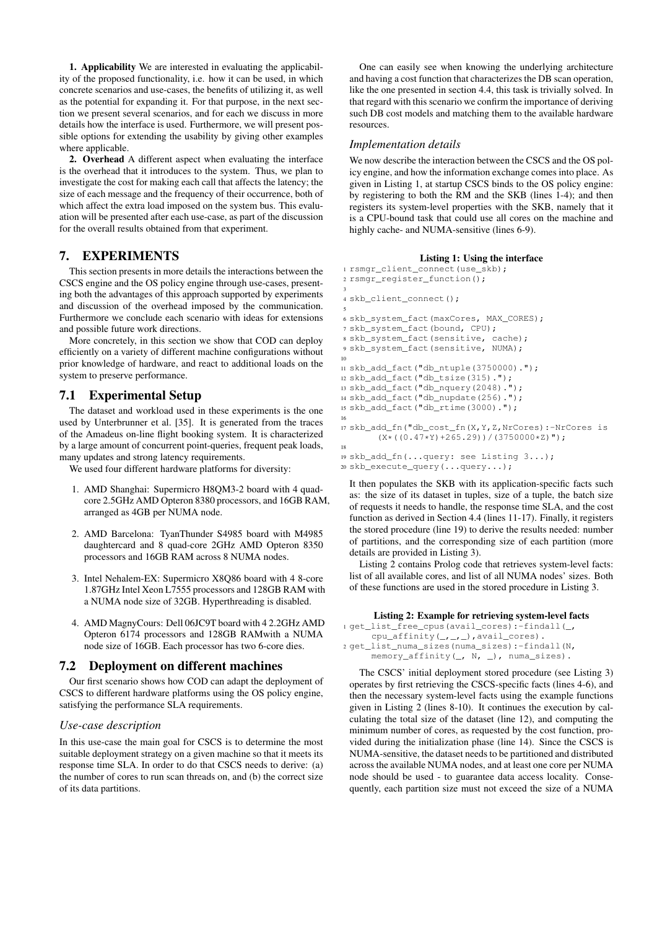1. Applicability We are interested in evaluating the applicability of the proposed functionality, i.e. how it can be used, in which concrete scenarios and use-cases, the benefits of utilizing it, as well as the potential for expanding it. For that purpose, in the next section we present several scenarios, and for each we discuss in more details how the interface is used. Furthermore, we will present possible options for extending the usability by giving other examples where applicable.

2. Overhead A different aspect when evaluating the interface is the overhead that it introduces to the system. Thus, we plan to investigate the cost for making each call that affects the latency; the size of each message and the frequency of their occurrence, both of which affect the extra load imposed on the system bus. This evaluation will be presented after each use-case, as part of the discussion for the overall results obtained from that experiment.

# 7. EXPERIMENTS

This section presents in more details the interactions between the CSCS engine and the OS policy engine through use-cases, presenting both the advantages of this approach supported by experiments and discussion of the overhead imposed by the communication. Furthermore we conclude each scenario with ideas for extensions and possible future work directions.

More concretely, in this section we show that COD can deploy efficiently on a variety of different machine configurations without prior knowledge of hardware, and react to additional loads on the system to preserve performance.

# 7.1 Experimental Setup

The dataset and workload used in these experiments is the one used by Unterbrunner et al. [35]. It is generated from the traces of the Amadeus on-line flight booking system. It is characterized by a large amount of concurrent point-queries, frequent peak loads, many updates and strong latency requirements.

We used four different hardware platforms for diversity:

- 1. AMD Shanghai: Supermicro H8QM3-2 board with 4 quadcore 2.5GHz AMD Opteron 8380 processors, and 16GB RAM, arranged as 4GB per NUMA node.
- 2. AMD Barcelona: TyanThunder S4985 board with M4985 daughtercard and 8 quad-core 2GHz AMD Opteron 8350 processors and 16GB RAM across 8 NUMA nodes.
- 3. Intel Nehalem-EX: Supermicro X8Q86 board with 4 8-core 1.87GHz Intel Xeon L7555 processors and 128GB RAM with a NUMA node size of 32GB. Hyperthreading is disabled.
- 4. AMD MagnyCours: Dell 06JC9T board with 4 2.2GHz AMD Opteron 6174 processors and 128GB RAMwith a NUMA node size of 16GB. Each processor has two 6-core dies.

# 7.2 Deployment on different machines

Our first scenario shows how COD can adapt the deployment of CSCS to different hardware platforms using the OS policy engine, satisfying the performance SLA requirements.

# *Use-case description*

In this use-case the main goal for CSCS is to determine the most suitable deployment strategy on a given machine so that it meets its response time SLA. In order to do that CSCS needs to derive: (a) the number of cores to run scan threads on, and (b) the correct size of its data partitions.

One can easily see when knowing the underlying architecture and having a cost function that characterizes the DB scan operation, like the one presented in section 4.4, this task is trivially solved. In that regard with this scenario we confirm the importance of deriving such DB cost models and matching them to the available hardware resources.

### *Implementation details*

We now describe the interaction between the CSCS and the OS policy engine, and how the information exchange comes into place. As given in Listing 1, at startup CSCS binds to the OS policy engine: by registering to both the RM and the SKB (lines 1-4); and then registers its system-level properties with the SKB, namely that it is a CPU-bound task that could use all cores on the machine and highly cache- and NUMA-sensitive (lines 6-9).

#### Listing 1: Using the interface

```
1 rsmgr_client_connect(use_skb);
2 rsmgr_register_function();
3
4 skb_client_connect();
5
6 skb_system_fact(maxCores, MAX_CORES);
7 skb_system_fact(bound, CPU);
8 skb_system_fact(sensitive, cache);
9 skb_system_fact(sensitive, NUMA);
10
11 skb_add_fact("db_ntuple(3750000).");
12 skb_add_fact("db_tsize(315).");
13 skb_add_fact("db_nquery(2048).");
14 skb_add_fact("db_nupdate(256).");
15 skb_add_fact("db_rtime(3000).");
16
17 skb_add_fn("db_cost_fn(X,Y,Z,NrCores):-NrCores is
       (X \star ((0.47 \star Y)+265.29)) / (3750000 \star Z)");
18
19 skb_add_fn(...query: see Listing 3...);
```
<sup>20</sup> skb\_execute\_query(...query...);

It then populates the SKB with its application-specific facts such as: the size of its dataset in tuples, size of a tuple, the batch size of requests it needs to handle, the response time SLA, and the cost function as derived in Section 4.4 (lines 11-17). Finally, it registers the stored procedure (line 19) to derive the results needed: number of partitions, and the corresponding size of each partition (more details are provided in Listing 3).

Listing 2 contains Prolog code that retrieves system-level facts: list of all available cores, and list of all NUMA nodes' sizes. Both of these functions are used in the stored procedure in Listing 3.

#### Listing 2: Example for retrieving system-level facts

```
1 get_list_free_cpus(avail_cores):-findall(_,
     cpu_affinity(_,_,_),avail_cores).
2 get_list_numa_sizes(numa_sizes):-findall(N,
     memory_affinity(_, N, _), numa_sizes).
```
The CSCS' initial deployment stored procedure (see Listing 3) operates by first retrieving the CSCS-specific facts (lines 4-6), and then the necessary system-level facts using the example functions given in Listing 2 (lines 8-10). It continues the execution by calculating the total size of the dataset (line 12), and computing the minimum number of cores, as requested by the cost function, provided during the initialization phase (line 14). Since the CSCS is NUMA-sensitive, the dataset needs to be partitioned and distributed across the available NUMA nodes, and at least one core per NUMA node should be used - to guarantee data access locality. Consequently, each partition size must not exceed the size of a NUMA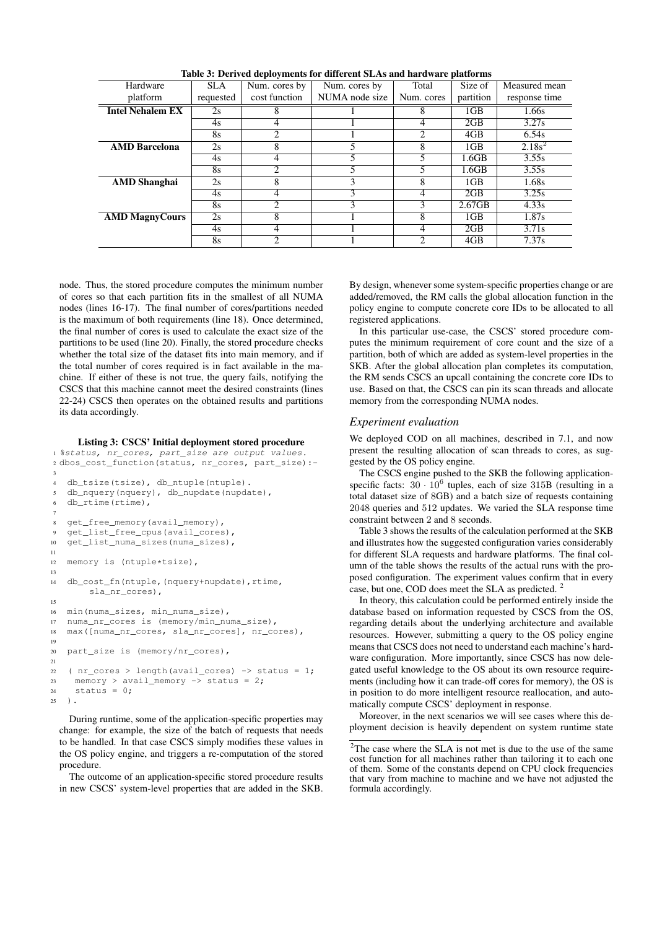| Hardware                | <b>SLA</b> | Num. cores by  | Num. cores by  | Total      | Size of         | Measured mean      |
|-------------------------|------------|----------------|----------------|------------|-----------------|--------------------|
| platform                | requested  | cost function  | NUMA node size | Num. cores | partition       | response time      |
| <b>Intel Nehalem EX</b> | 2s         | 8              |                | 8          | 1 <sub>GB</sub> | 1.66s              |
|                         | 4s         | 4              |                | 4          | 2GB             | 3.27s              |
|                         | <b>8s</b>  | 2              |                | 2          | 4GB             | 6.54s              |
| <b>AMD</b> Barcelona    | 2s         | 8              |                | 8          | 1GB             | 2.18s <sup>2</sup> |
|                         | 4s         | 4              |                |            | 1.6GB           | 3.55s              |
|                         | <b>8s</b>  | $\mathfrak{D}$ |                |            | 1.6GB           | 3.55s              |
| <b>AMD Shanghai</b>     | 2s         | 8              | 3              | 8          | 1GB             | 1.68s              |
|                         | 4s         | 4              | 3              | 4          | 2GB             | 3.25s              |
|                         | 8s         | 2              | 3              |            | 2.67GB          | 4.33s              |
| <b>AMD MagnyCours</b>   | 2s         | 8              |                | 8          | 1 <sub>GB</sub> | 1.87s              |
|                         | 4s         | 4              |                | 4          | 2GB             | 3.71s              |
|                         | <b>8s</b>  | 2              |                | 2          | 4GB             | 7.37s              |

Table 3: Derived deployments for different SLAs and hardware platforms

node. Thus, the stored procedure computes the minimum number of cores so that each partition fits in the smallest of all NUMA nodes (lines 16-17). The final number of cores/partitions needed is the maximum of both requirements (line 18). Once determined, the final number of cores is used to calculate the exact size of the partitions to be used (line 20). Finally, the stored procedure checks whether the total size of the dataset fits into main memory, and if the total number of cores required is in fact available in the machine. If either of these is not true, the query fails, notifying the CSCS that this machine cannot meet the desired constraints (lines 22-24) CSCS then operates on the obtained results and partitions its data accordingly.

#### Listing 3: CSCS' Initial deployment stored procedure

```
1 %status, nr_cores, part_size are output values.
2 dbos_cost_function(status, nr_cores, part_size):-
3
4 db_tsize(tsize), db_ntuple(ntuple).
5 db_nquery(nquery), db_nupdate(nupdate),
6 db_rtime(rtime),
7
   get_free_memory(avail_memory),
   9 get_list_free_cpus(avail_cores),
10 get_list_numa_sizes(numa_sizes),
11
12 memory is (ntuple*tsize),
13
14 db_cost_fn(ntuple,(nquery+nupdate), rtime,
       sla_nr_cores),
15
16 min(numa sizes, min numa size),
17 numa_nr_cores is (memory/min_numa_size),
18 max([numa_nr_cores, sla_nr_cores], nr_cores),
19
20 part_size is (memory/nr_cores),
21
22 ( nr\_cores > length(avail_cores) -> status = 1;
23 memory > avail_memory -> status = 2;
24 status = 0;
25 ).
```
During runtime, some of the application-specific properties may change: for example, the size of the batch of requests that needs to be handled. In that case CSCS simply modifies these values in the OS policy engine, and triggers a re-computation of the stored procedure.

The outcome of an application-specific stored procedure results in new CSCS' system-level properties that are added in the SKB.

By design, whenever some system-specific properties change or are added/removed, the RM calls the global allocation function in the policy engine to compute concrete core IDs to be allocated to all registered applications.

In this particular use-case, the CSCS' stored procedure computes the minimum requirement of core count and the size of a partition, both of which are added as system-level properties in the SKB. After the global allocation plan completes its computation, the RM sends CSCS an upcall containing the concrete core IDs to use. Based on that, the CSCS can pin its scan threads and allocate memory from the corresponding NUMA nodes.

#### *Experiment evaluation*

We deployed COD on all machines, described in 7.1, and now present the resulting allocation of scan threads to cores, as suggested by the OS policy engine.

The CSCS engine pushed to the SKB the following applicationspecific facts:  $30 \cdot 10^6$  tuples, each of size 315B (resulting in a total dataset size of 8GB) and a batch size of requests containing 2048 queries and 512 updates. We varied the SLA response time constraint between 2 and 8 seconds.

Table 3 shows the results of the calculation performed at the SKB and illustrates how the suggested configuration varies considerably for different SLA requests and hardware platforms. The final column of the table shows the results of the actual runs with the proposed configuration. The experiment values confirm that in every case, but one, COD does meet the SLA as predicted. <sup>2</sup>

In theory, this calculation could be performed entirely inside the database based on information requested by CSCS from the OS, regarding details about the underlying architecture and available resources. However, submitting a query to the OS policy engine means that CSCS does not need to understand each machine's hardware configuration. More importantly, since CSCS has now delegated useful knowledge to the OS about its own resource requirements (including how it can trade-off cores for memory), the OS is in position to do more intelligent resource reallocation, and automatically compute CSCS' deployment in response.

Moreover, in the next scenarios we will see cases where this deployment decision is heavily dependent on system runtime state

<sup>2</sup>The case where the SLA is not met is due to the use of the same cost function for all machines rather than tailoring it to each one of them. Some of the constants depend on CPU clock frequencies that vary from machine to machine and we have not adjusted the formula accordingly.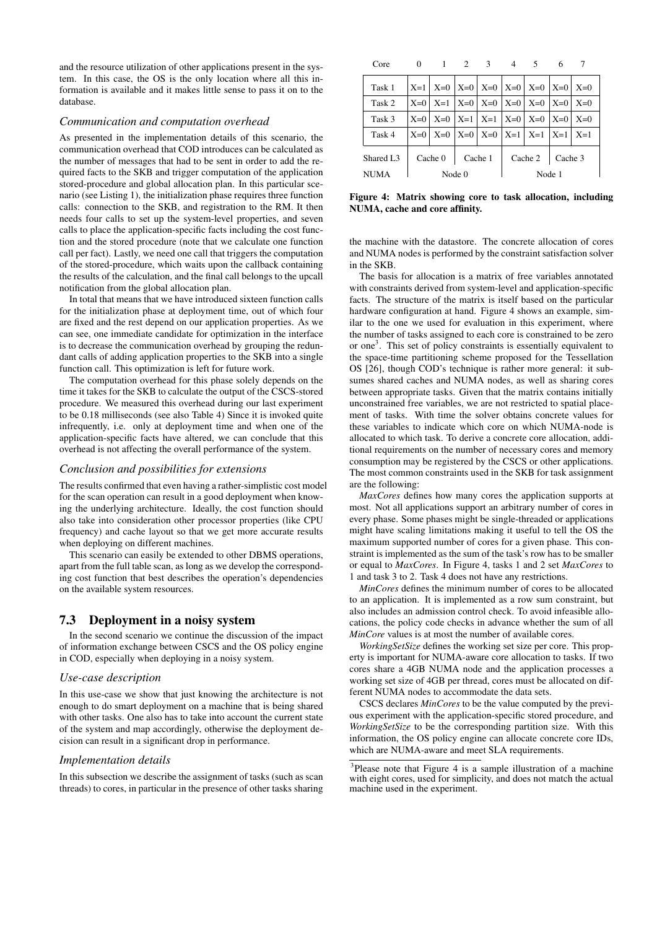and the resource utilization of other applications present in the system. In this case, the OS is the only location where all this information is available and it makes little sense to pass it on to the database.

#### *Communication and computation overhead*

As presented in the implementation details of this scenario, the communication overhead that COD introduces can be calculated as the number of messages that had to be sent in order to add the required facts to the SKB and trigger computation of the application stored-procedure and global allocation plan. In this particular scenario (see Listing 1), the initialization phase requires three function calls: connection to the SKB, and registration to the RM. It then needs four calls to set up the system-level properties, and seven calls to place the application-specific facts including the cost function and the stored procedure (note that we calculate one function call per fact). Lastly, we need one call that triggers the computation of the stored-procedure, which waits upon the callback containing the results of the calculation, and the final call belongs to the upcall notification from the global allocation plan.

In total that means that we have introduced sixteen function calls for the initialization phase at deployment time, out of which four are fixed and the rest depend on our application properties. As we can see, one immediate candidate for optimization in the interface is to decrease the communication overhead by grouping the redundant calls of adding application properties to the SKB into a single function call. This optimization is left for future work.

The computation overhead for this phase solely depends on the time it takes for the SKB to calculate the output of the CSCS-stored procedure. We measured this overhead during our last experiment to be 0.18 milliseconds (see also Table 4) Since it is invoked quite infrequently, i.e. only at deployment time and when one of the application-specific facts have altered, we can conclude that this overhead is not affecting the overall performance of the system.

#### *Conclusion and possibilities for extensions*

The results confirmed that even having a rather-simplistic cost model for the scan operation can result in a good deployment when knowing the underlying architecture. Ideally, the cost function should also take into consideration other processor properties (like CPU frequency) and cache layout so that we get more accurate results when deploying on different machines.

This scenario can easily be extended to other DBMS operations, apart from the full table scan, as long as we develop the corresponding cost function that best describes the operation's dependencies on the available system resources.

# 7.3 Deployment in a noisy system

In the second scenario we continue the discussion of the impact of information exchange between CSCS and the OS policy engine in COD, especially when deploying in a noisy system.

#### *Use-case description*

In this use-case we show that just knowing the architecture is not enough to do smart deployment on a machine that is being shared with other tasks. One also has to take into account the current state of the system and map accordingly, otherwise the deployment decision can result in a significant drop in performance.

#### *Implementation details*

In this subsection we describe the assignment of tasks (such as scan threads) to cores, in particular in the presence of other tasks sharing

| Core                  | $\overline{0}$ |                    |  | 1 2 3 4 5                                                     |  |         | 6 |       |
|-----------------------|----------------|--------------------|--|---------------------------------------------------------------|--|---------|---|-------|
| Task 1                |                |                    |  | $X=1$   $X=0$   $X=0$   $X=0$   $X=0$   $X=0$   $X=0$   $X=0$ |  |         |   |       |
| Task 2                |                |                    |  | $X=0$   $X=1$   $X=0$   $X=0$   $X=0$   $X=0$   $X=0$   $X=0$ |  |         |   |       |
| Task 3                | $X=0$          |                    |  | $X=0$   $X=1$   $X=1$   $X=0$   $X=0$   $X=0$                 |  |         |   | $X=0$ |
| Task 4                | $X=0$          |                    |  | $X=0$   $X=0$   $X=0$   $X=1$   $X=1$   $X=1$   $X=1$         |  |         |   |       |
| Shared L <sub>3</sub> |                | Cache 0<br>Cache 1 |  | Cache 2                                                       |  | Cache 3 |   |       |
| <b>NUMA</b>           | Node $0$       |                    |  | Node 1                                                        |  |         |   |       |

Figure 4: Matrix showing core to task allocation, including NUMA, cache and core affinity.

the machine with the datastore. The concrete allocation of cores and NUMA nodes is performed by the constraint satisfaction solver in the SKB.

The basis for allocation is a matrix of free variables annotated with constraints derived from system-level and application-specific facts. The structure of the matrix is itself based on the particular hardware configuration at hand. Figure 4 shows an example, similar to the one we used for evaluation in this experiment, where the number of tasks assigned to each core is constrained to be zero or one<sup>3</sup>. This set of policy constraints is essentially equivalent to the space-time partitioning scheme proposed for the Tessellation OS [26], though COD's technique is rather more general: it subsumes shared caches and NUMA nodes, as well as sharing cores between appropriate tasks. Given that the matrix contains initially unconstrained free variables, we are not restricted to spatial placement of tasks. With time the solver obtains concrete values for these variables to indicate which core on which NUMA-node is allocated to which task. To derive a concrete core allocation, additional requirements on the number of necessary cores and memory consumption may be registered by the CSCS or other applications. The most common constraints used in the SKB for task assignment are the following:

*MaxCores* defines how many cores the application supports at most. Not all applications support an arbitrary number of cores in every phase. Some phases might be single-threaded or applications might have scaling limitations making it useful to tell the OS the maximum supported number of cores for a given phase. This constraint is implemented as the sum of the task's row has to be smaller or equal to *MaxCores*. In Figure 4, tasks 1 and 2 set *MaxCores* to 1 and task 3 to 2. Task 4 does not have any restrictions.

*MinCores* defines the minimum number of cores to be allocated to an application. It is implemented as a row sum constraint, but also includes an admission control check. To avoid infeasible allocations, the policy code checks in advance whether the sum of all *MinCore* values is at most the number of available cores.

*WorkingSetSize* defines the working set size per core. This property is important for NUMA-aware core allocation to tasks. If two cores share a 4GB NUMA node and the application processes a working set size of 4GB per thread, cores must be allocated on different NUMA nodes to accommodate the data sets.

CSCS declares *MinCores* to be the value computed by the previous experiment with the application-specific stored procedure, and *WorkingSetSize* to be the corresponding partition size. With this information, the OS policy engine can allocate concrete core IDs, which are NUMA-aware and meet SLA requirements.

<sup>&</sup>lt;sup>3</sup>Please note that Figure 4 is a sample illustration of a machine with eight cores, used for simplicity, and does not match the actual machine used in the experiment.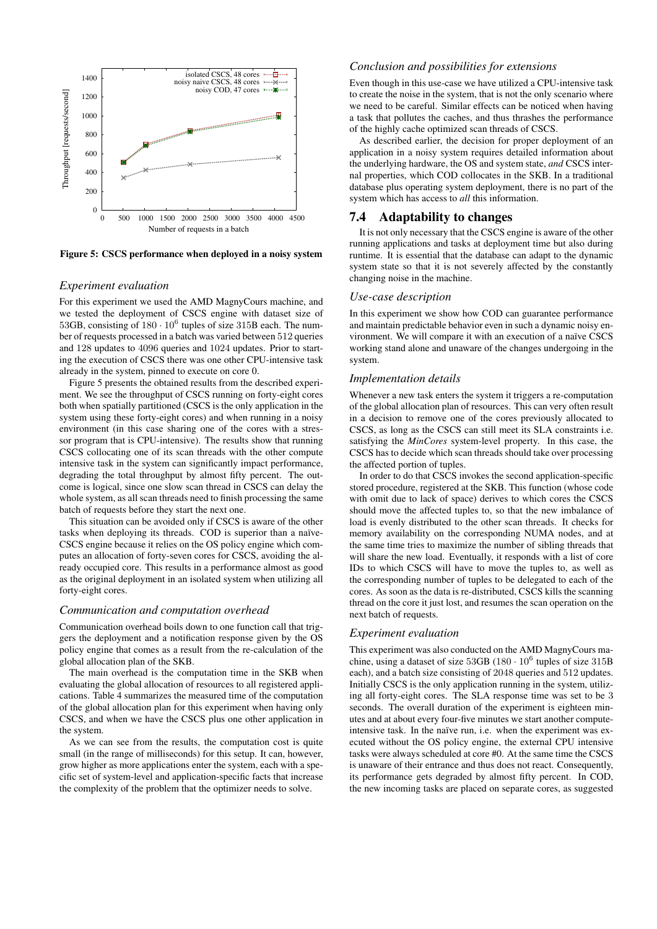

Figure 5: CSCS performance when deployed in a noisy system

### *Experiment evaluation*

For this experiment we used the AMD MagnyCours machine, and we tested the deployment of CSCS engine with dataset size of 53GB, consisting of  $180 \cdot 10^6$  tuples of size 315B each. The number of requests processed in a batch was varied between 512 queries and 128 updates to 4096 queries and 1024 updates. Prior to starting the execution of CSCS there was one other CPU-intensive task already in the system, pinned to execute on core 0.

Figure 5 presents the obtained results from the described experiment. We see the throughput of CSCS running on forty-eight cores both when spatially partitioned (CSCS is the only application in the system using these forty-eight cores) and when running in a noisy environment (in this case sharing one of the cores with a stressor program that is CPU-intensive). The results show that running CSCS collocating one of its scan threads with the other compute intensive task in the system can significantly impact performance, degrading the total throughput by almost fifty percent. The outcome is logical, since one slow scan thread in CSCS can delay the whole system, as all scan threads need to finish processing the same batch of requests before they start the next one.

This situation can be avoided only if CSCS is aware of the other tasks when deploying its threads. COD is superior than a naïve-CSCS engine because it relies on the OS policy engine which computes an allocation of forty-seven cores for CSCS, avoiding the already occupied core. This results in a performance almost as good as the original deployment in an isolated system when utilizing all forty-eight cores.

#### *Communication and computation overhead*

Communication overhead boils down to one function call that triggers the deployment and a notification response given by the OS policy engine that comes as a result from the re-calculation of the global allocation plan of the SKB.

The main overhead is the computation time in the SKB when evaluating the global allocation of resources to all registered applications. Table 4 summarizes the measured time of the computation of the global allocation plan for this experiment when having only CSCS, and when we have the CSCS plus one other application in the system.

As we can see from the results, the computation cost is quite small (in the range of milliseconds) for this setup. It can, however, grow higher as more applications enter the system, each with a specific set of system-level and application-specific facts that increase the complexity of the problem that the optimizer needs to solve.

# *Conclusion and possibilities for extensions*

Even though in this use-case we have utilized a CPU-intensive task to create the noise in the system, that is not the only scenario where we need to be careful. Similar effects can be noticed when having a task that pollutes the caches, and thus thrashes the performance of the highly cache optimized scan threads of CSCS.

As described earlier, the decision for proper deployment of an application in a noisy system requires detailed information about the underlying hardware, the OS and system state, *and* CSCS internal properties, which COD collocates in the SKB. In a traditional database plus operating system deployment, there is no part of the system which has access to *all* this information.

# 7.4 Adaptability to changes

It is not only necessary that the CSCS engine is aware of the other running applications and tasks at deployment time but also during runtime. It is essential that the database can adapt to the dynamic system state so that it is not severely affected by the constantly changing noise in the machine.

#### *Use-case description*

In this experiment we show how COD can guarantee performance and maintain predictable behavior even in such a dynamic noisy environment. We will compare it with an execution of a naïve CSCS working stand alone and unaware of the changes undergoing in the system.

#### *Implementation details*

Whenever a new task enters the system it triggers a re-computation of the global allocation plan of resources. This can very often result in a decision to remove one of the cores previously allocated to CSCS, as long as the CSCS can still meet its SLA constraints i.e. satisfying the *MinCores* system-level property. In this case, the CSCS has to decide which scan threads should take over processing the affected portion of tuples.

In order to do that CSCS invokes the second application-specific stored procedure, registered at the SKB. This function (whose code with omit due to lack of space) derives to which cores the CSCS should move the affected tuples to, so that the new imbalance of load is evenly distributed to the other scan threads. It checks for memory availability on the corresponding NUMA nodes, and at the same time tries to maximize the number of sibling threads that will share the new load. Eventually, it responds with a list of core IDs to which CSCS will have to move the tuples to, as well as the corresponding number of tuples to be delegated to each of the cores. As soon as the data is re-distributed, CSCS kills the scanning thread on the core it just lost, and resumes the scan operation on the next batch of requests.

#### *Experiment evaluation*

This experiment was also conducted on the AMD MagnyCours machine, using a dataset of size  $53GB (180 \cdot 10^6$  tuples of size  $315B$ each), and a batch size consisting of 2048 queries and 512 updates. Initially CSCS is the only application running in the system, utilizing all forty-eight cores. The SLA response time was set to be 3 seconds. The overall duration of the experiment is eighteen minutes and at about every four-five minutes we start another computeintensive task. In the naïve run, i.e. when the experiment was executed without the OS policy engine, the external CPU intensive tasks were always scheduled at core #0. At the same time the CSCS is unaware of their entrance and thus does not react. Consequently, its performance gets degraded by almost fifty percent. In COD, the new incoming tasks are placed on separate cores, as suggested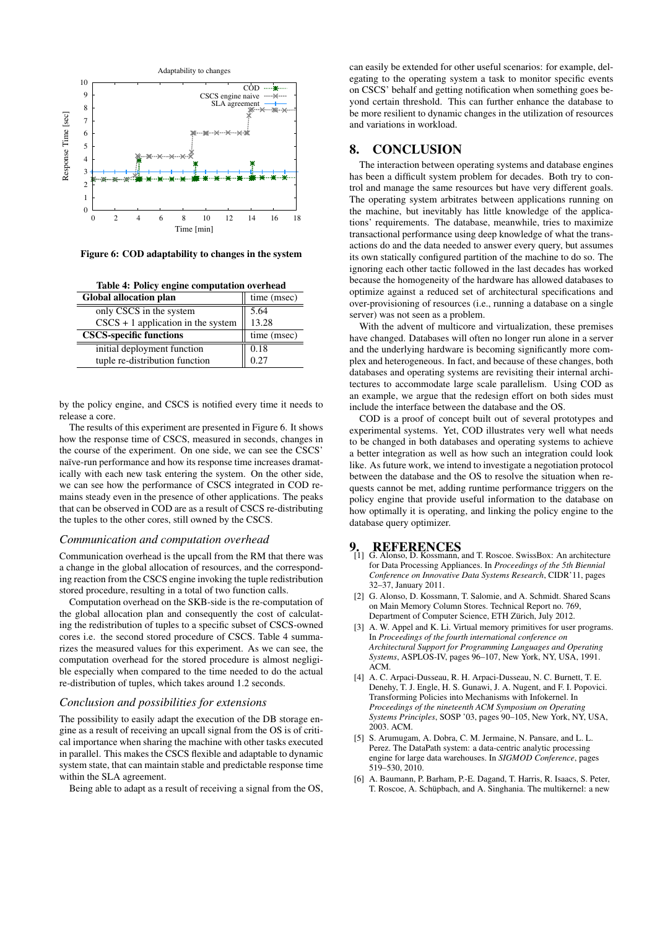

Figure 6: COD adaptability to changes in the system

Table 4: Policy engine computation overhead

| Global allocation plan               | time (msec) |  |  |
|--------------------------------------|-------------|--|--|
| only CSCS in the system              | 5.64        |  |  |
| $CSCS + 1$ application in the system | 13.28       |  |  |
| <b>CSCS-specific functions</b>       | time (msec) |  |  |
| initial deployment function          | 0.18        |  |  |
| tuple re-distribution function       | 0.27        |  |  |

by the policy engine, and CSCS is notified every time it needs to release a core.

The results of this experiment are presented in Figure 6. It shows how the response time of CSCS, measured in seconds, changes in the course of the experiment. On one side, we can see the CSCS' naïve-run performance and how its response time increases dramatically with each new task entering the system. On the other side, we can see how the performance of CSCS integrated in COD remains steady even in the presence of other applications. The peaks that can be observed in COD are as a result of CSCS re-distributing the tuples to the other cores, still owned by the CSCS.

#### *Communication and computation overhead*

Communication overhead is the upcall from the RM that there was a change in the global allocation of resources, and the corresponding reaction from the CSCS engine invoking the tuple redistribution stored procedure, resulting in a total of two function calls.

Computation overhead on the SKB-side is the re-computation of the global allocation plan and consequently the cost of calculating the redistribution of tuples to a specific subset of CSCS-owned cores i.e. the second stored procedure of CSCS. Table 4 summarizes the measured values for this experiment. As we can see, the computation overhead for the stored procedure is almost negligible especially when compared to the time needed to do the actual re-distribution of tuples, which takes around 1.2 seconds.

#### *Conclusion and possibilities for extensions*

The possibility to easily adapt the execution of the DB storage engine as a result of receiving an upcall signal from the OS is of critical importance when sharing the machine with other tasks executed in parallel. This makes the CSCS flexible and adaptable to dynamic system state, that can maintain stable and predictable response time within the SLA agreement.

Being able to adapt as a result of receiving a signal from the OS,

can easily be extended for other useful scenarios: for example, delegating to the operating system a task to monitor specific events on CSCS' behalf and getting notification when something goes beyond certain threshold. This can further enhance the database to be more resilient to dynamic changes in the utilization of resources and variations in workload.

# 8. CONCLUSION

The interaction between operating systems and database engines has been a difficult system problem for decades. Both try to control and manage the same resources but have very different goals. The operating system arbitrates between applications running on the machine, but inevitably has little knowledge of the applications' requirements. The database, meanwhile, tries to maximize transactional performance using deep knowledge of what the transactions do and the data needed to answer every query, but assumes its own statically configured partition of the machine to do so. The ignoring each other tactic followed in the last decades has worked because the homogeneity of the hardware has allowed databases to optimize against a reduced set of architectural specifications and over-provisioning of resources (i.e., running a database on a single server) was not seen as a problem.

With the advent of multicore and virtualization, these premises have changed. Databases will often no longer run alone in a server and the underlying hardware is becoming significantly more complex and heterogeneous. In fact, and because of these changes, both databases and operating systems are revisiting their internal architectures to accommodate large scale parallelism. Using COD as an example, we argue that the redesign effort on both sides must include the interface between the database and the OS.

COD is a proof of concept built out of several prototypes and experimental systems. Yet, COD illustrates very well what needs to be changed in both databases and operating systems to achieve a better integration as well as how such an integration could look like. As future work, we intend to investigate a negotiation protocol between the database and the OS to resolve the situation when requests cannot be met, adding runtime performance triggers on the policy engine that provide useful information to the database on how optimally it is operating, and linking the policy engine to the database query optimizer.

- 9. REFERENCES<br>[1] G. Alonso, D. Kossmann, and T. Roscoe. SwissBox: An architecture for Data Processing Appliances. In *Proceedings of the 5th Biennial Conference on Innovative Data Systems Research*, CIDR'11, pages 32–37, January 2011.
- [2] G. Alonso, D. Kossmann, T. Salomie, and A. Schmidt. Shared Scans on Main Memory Column Stores. Technical Report no. 769, Department of Computer Science, ETH Zürich, July 2012.
- [3] A. W. Appel and K. Li. Virtual memory primitives for user programs. In *Proceedings of the fourth international conference on Architectural Support for Programming Languages and Operating Systems*, ASPLOS-IV, pages 96–107, New York, NY, USA, 1991. ACM.
- [4] A. C. Arpaci-Dusseau, R. H. Arpaci-Dusseau, N. C. Burnett, T. E. Denehy, T. J. Engle, H. S. Gunawi, J. A. Nugent, and F. I. Popovici. Transforming Policies into Mechanisms with Infokernel. In *Proceedings of the nineteenth ACM Symposium on Operating Systems Principles*, SOSP '03, pages 90–105, New York, NY, USA, 2003. ACM.
- [5] S. Arumugam, A. Dobra, C. M. Jermaine, N. Pansare, and L. L. Perez. The DataPath system: a data-centric analytic processing engine for large data warehouses. In *SIGMOD Conference*, pages 519–530, 2010.
- [6] A. Baumann, P. Barham, P.-E. Dagand, T. Harris, R. Isaacs, S. Peter, T. Roscoe, A. Schüpbach, and A. Singhania. The multikernel: a new